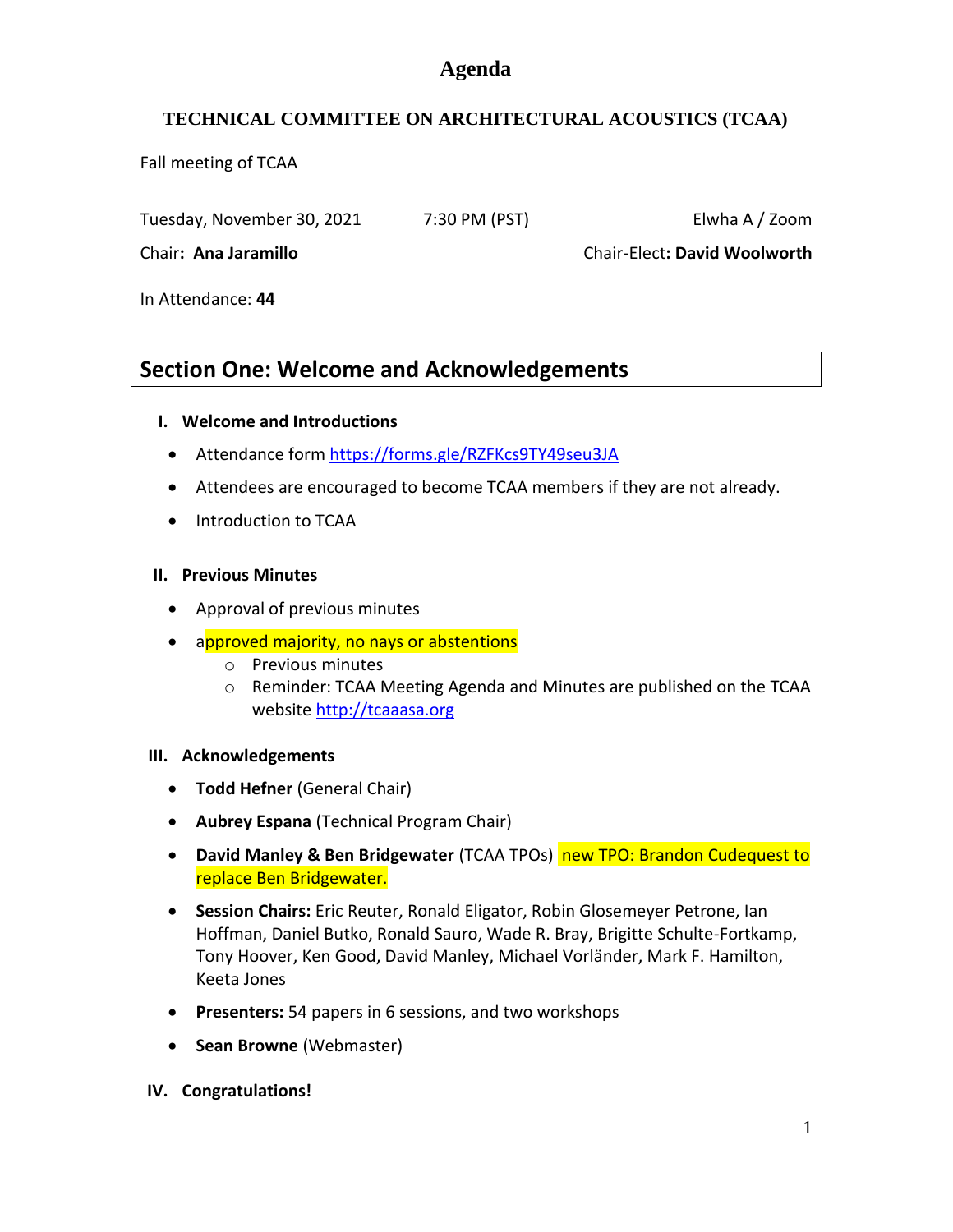## **Agenda**

## **TECHNICAL COMMITTEE ON ARCHITECTURAL ACOUSTICS (TCAA)**

Fall meeting of TCAA

Tuesday, November 30, 2021 7:30 PM (PST) Elwha A / Zoom

Chair**: Ana Jaramillo** Chair-Elect**: David Woolworth**

In Attendance: **44**

## **Section One: Welcome and Acknowledgements**

#### **I. Welcome and Introductions**

- Attendance form https://forms.gle/RZFKcs9TY49seu3JA
- Attendees are encouraged to become TCAA members if they are not already.
- Introduction to TCAA

#### **II. Previous Minutes**

- Approval of previous minutes
- approved majority, no nays or abstentions
	- o Previous minutes
	- o Reminder: TCAA Meeting Agenda and Minutes are published on the TCAA website [http://tcaaasa.org](http://tcaaasa.org/)

#### **III. Acknowledgements**

- **Todd Hefner** (General Chair)
- **Aubrey Espana** (Technical Program Chair)
- **David Manley & Ben Bridgewater** (TCAA TPOs) new TPO: Brandon Cudequest to replace Ben Bridgewater.
- **Session Chairs:** Eric Reuter, Ronald Eligator, Robin Glosemeyer Petrone, Ian Hoffman, Daniel Butko, Ronald Sauro, Wade R. Bray, Brigitte Schulte-Fortkamp, Tony Hoover, Ken Good, David Manley, Michael Vorländer, Mark F. Hamilton, Keeta Jones
- **Presenters:** 54 papers in 6 sessions, and two workshops
- **Sean Browne** (Webmaster)
- **IV. Congratulations!**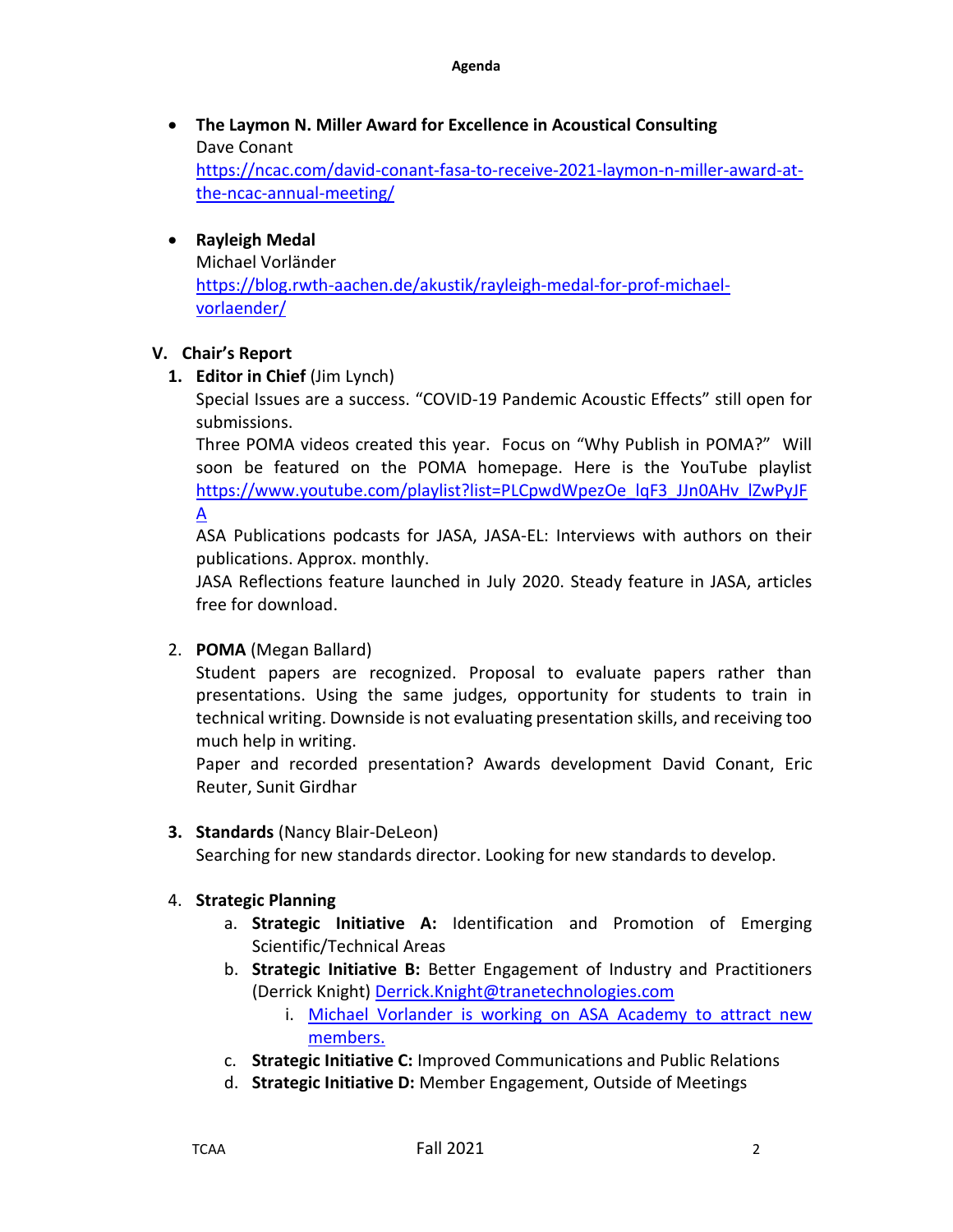- **The Laymon N. Miller Award for Excellence in Acoustical Consulting** Dave Conant [https://ncac.com/david-conant-fasa-to-receive-2021-laymon-n-miller-award-at](https://ncac.com/david-conant-fasa-to-receive-2021-laymon-n-miller-award-at-the-ncac-annual-meeting/)[the-ncac-annual-meeting/](https://ncac.com/david-conant-fasa-to-receive-2021-laymon-n-miller-award-at-the-ncac-annual-meeting/)
- **Rayleigh Medal**  Michael Vorländer [https://blog.rwth-aachen.de/akustik/rayleigh-medal-for-prof-michael](https://blog.rwth-aachen.de/akustik/rayleigh-medal-for-prof-michael-vorlaender/)[vorlaender/](https://blog.rwth-aachen.de/akustik/rayleigh-medal-for-prof-michael-vorlaender/)

#### **V. Chair's Report**

**1. Editor in Chief** (Jim Lynch)

Special Issues are a success. "COVID-19 Pandemic Acoustic Effects" still open for submissions.

Three POMA videos created this year. Focus on "Why Publish in POMA?" Will soon be featured on the POMA homepage. Here is the YouTube playlist [https://www.youtube.com/playlist?list=PLCpwdWpezOe\\_lqF3\\_JJn0AHv\\_lZwPyJF](https://www.youtube.com/playlist?list=PLCpwdWpezOe_lqF3_JJn0AHv_lZwPyJFA) [A](https://www.youtube.com/playlist?list=PLCpwdWpezOe_lqF3_JJn0AHv_lZwPyJFA)

ASA Publications podcasts for JASA, JASA-EL: Interviews with authors on their publications. Approx. monthly.

JASA Reflections feature launched in July 2020. Steady feature in JASA, articles free for download.

2. **POMA** (Megan Ballard)

Student papers are recognized. Proposal to evaluate papers rather than presentations. Using the same judges, opportunity for students to train in technical writing. Downside is not evaluating presentation skills, and receiving too much help in writing.

Paper and recorded presentation? Awards development David Conant, Eric Reuter, Sunit Girdhar

#### **3. Standards** (Nancy Blair-DeLeon)

Searching for new standards director. Looking for new standards to develop.

#### 4. **Strategic Planning**

- a. **Strategic Initiative A:** Identification and Promotion of Emerging Scientific/Technical Areas
- b. **Strategic Initiative B:** Better Engagement of Industry and Practitioners (Derrick Knight) Derrick.Knight@tranetechnologies.com
	- i. Michael Vorlander is working on ASA Academy to attract new members.
- c. **Strategic Initiative C:** Improved Communications and Public Relations
- d. **Strategic Initiative D:** Member Engagement, Outside of Meetings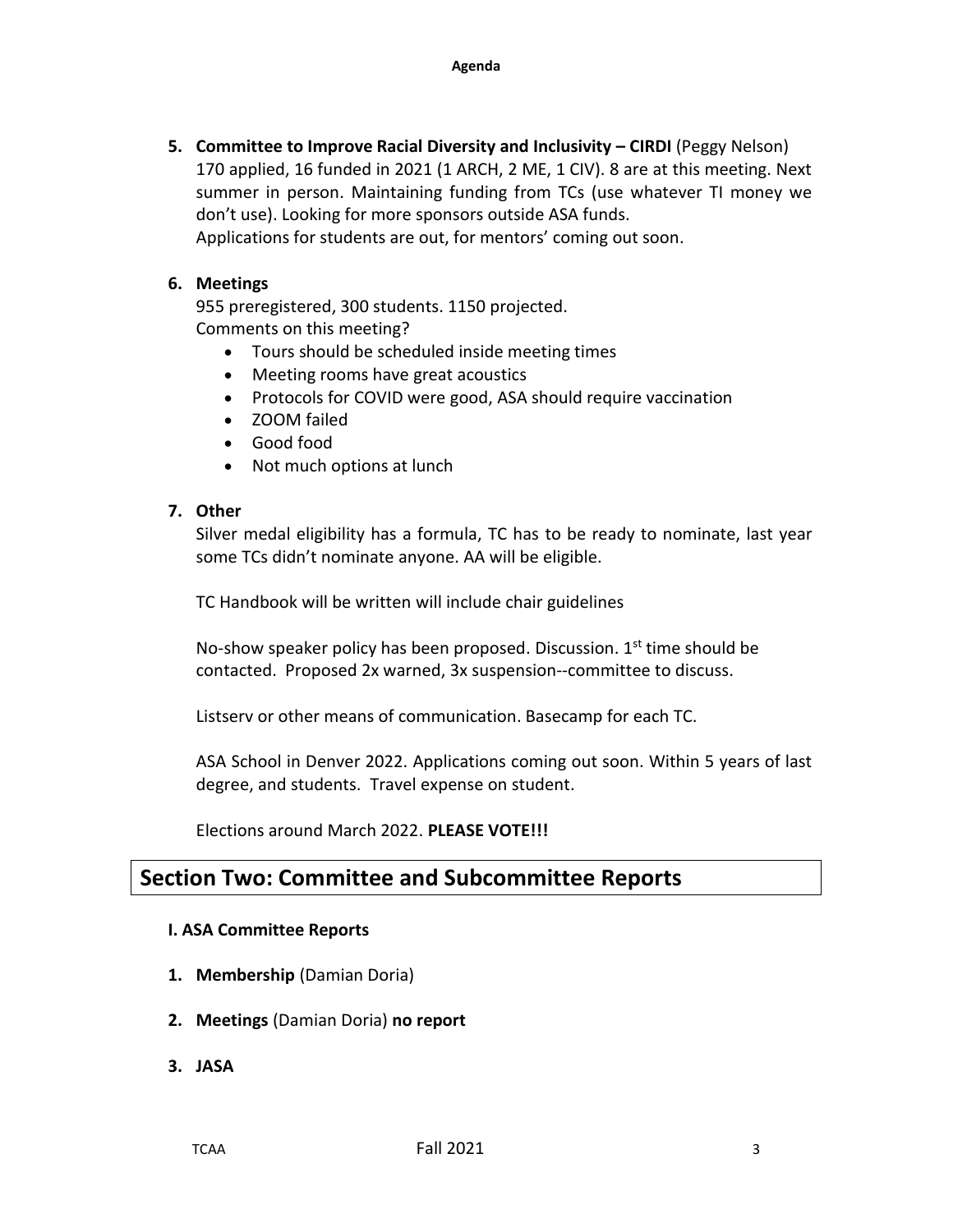**5. Committee to Improve Racial Diversity and Inclusivity – CIRDI** (Peggy Nelson) 170 applied, 16 funded in 2021 (1 ARCH, 2 ME, 1 CIV). 8 are at this meeting. Next summer in person. Maintaining funding from TCs (use whatever TI money we don't use). Looking for more sponsors outside ASA funds. Applications for students are out, for mentors' coming out soon.

#### **6. Meetings**

955 preregistered, 300 students. 1150 projected. Comments on this meeting?

- Tours should be scheduled inside meeting times
- Meeting rooms have great acoustics
- Protocols for COVID were good, ASA should require vaccination
- ZOOM failed
- Good food
- Not much options at lunch

#### **7. Other**

Silver medal eligibility has a formula, TC has to be ready to nominate, last year some TCs didn't nominate anyone. AA will be eligible.

TC Handbook will be written will include chair guidelines

No-show speaker policy has been proposed. Discussion.  $1<sup>st</sup>$  time should be contacted. Proposed 2x warned, 3x suspension--committee to discuss.

Listserv or other means of communication. Basecamp for each TC.

ASA School in Denver 2022. Applications coming out soon. Within 5 years of last degree, and students. Travel expense on student.

Elections around March 2022. **PLEASE VOTE!!!**

## **Section Two: Committee and Subcommittee Reports**

#### **I. ASA Committee Reports**

- **1. Membership** (Damian Doria)
- **2. Meetings** (Damian Doria) **no report**
- **3. JASA**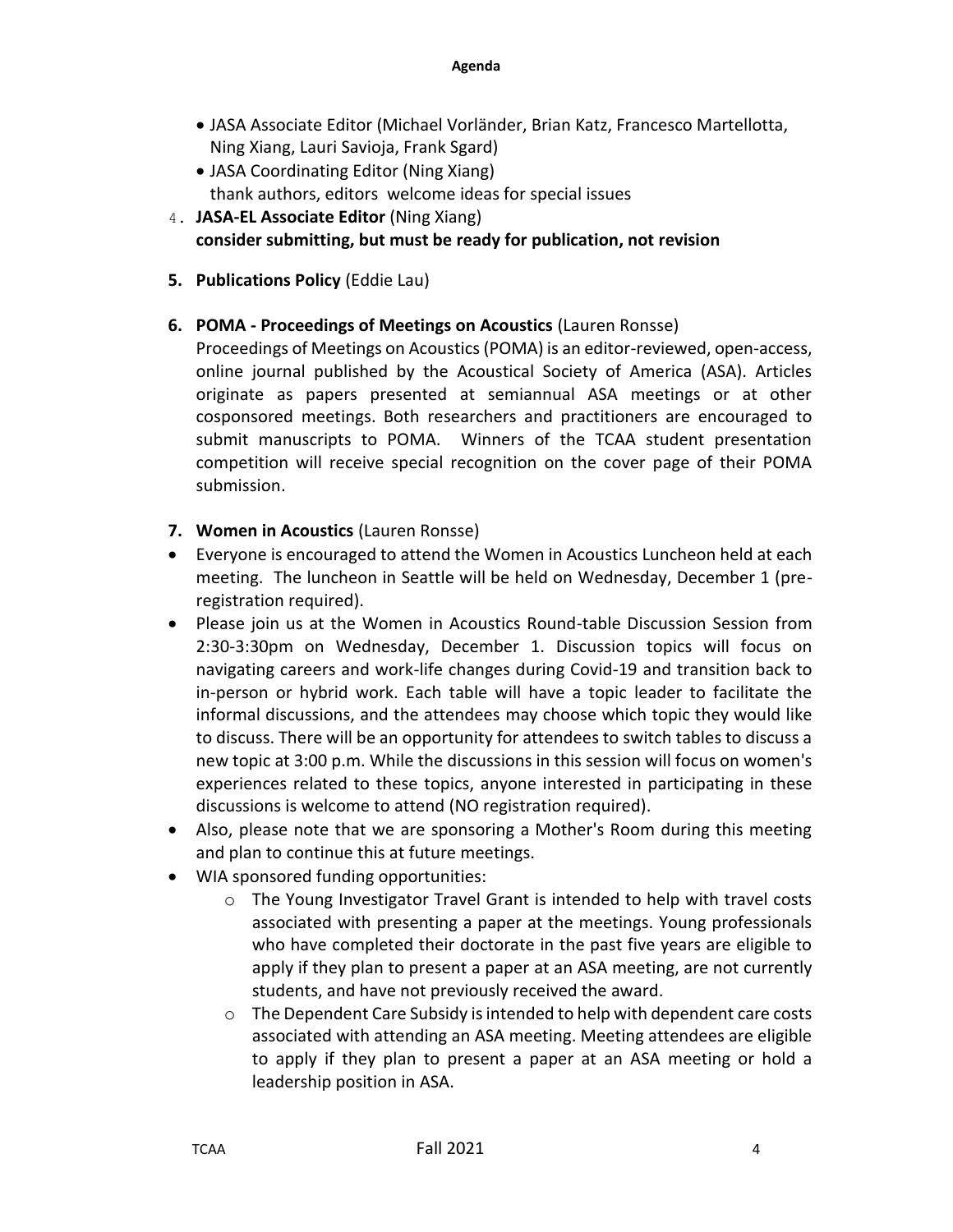- JASA Associate Editor (Michael Vorländer, Brian Katz, Francesco Martellotta, Ning Xiang, Lauri Savioja, Frank Sgard)
- JASA Coordinating Editor (Ning Xiang) thank authors, editors welcome ideas for special issues
- 4. **JASA-EL Associate Editor** (Ning Xiang) **consider submitting, but must be ready for publication, not revision**
- **5. Publications Policy** (Eddie Lau)
- **6. POMA - Proceedings of Meetings on Acoustics** (Lauren Ronsse)

Proceedings of Meetings on Acoustics (POMA) is an editor-reviewed, open-access, online journal published by the Acoustical Society of America (ASA). Articles originate as papers presented at semiannual ASA meetings or at other cosponsored meetings. Both researchers and practitioners are encouraged to submit manuscripts to POMA. Winners of the TCAA student presentation competition will receive special recognition on the cover page of their POMA submission.

- **7. Women in Acoustics** (Lauren Ronsse)
- Everyone is encouraged to attend the Women in Acoustics Luncheon held at each meeting. The luncheon in Seattle will be held on Wednesday, December 1 (preregistration required).
- Please join us at the Women in Acoustics Round-table Discussion Session from 2:30-3:30pm on Wednesday, December 1. Discussion topics will focus on navigating careers and work-life changes during Covid-19 and transition back to in-person or hybrid work. Each table will have a topic leader to facilitate the informal discussions, and the attendees may choose which topic they would like to discuss. There will be an opportunity for attendees to switch tables to discuss a new topic at 3:00 p.m. While the discussions in this session will focus on women's experiences related to these topics, anyone interested in participating in these discussions is welcome to attend (NO registration required).
- Also, please note that we are sponsoring a Mother's Room during this meeting and plan to continue this at future meetings.
- WIA sponsored funding opportunities:
	- $\circ$  The Young Investigator Travel Grant is intended to help with travel costs associated with presenting a paper at the meetings. Young professionals who have completed their doctorate in the past five years are eligible to apply if they plan to present a paper at an ASA meeting, are not currently students, and have not previously received the award.
	- $\circ$  The Dependent Care Subsidy is intended to help with dependent care costs associated with attending an ASA meeting. Meeting attendees are eligible to apply if they plan to present a paper at an ASA meeting or hold a leadership position in ASA.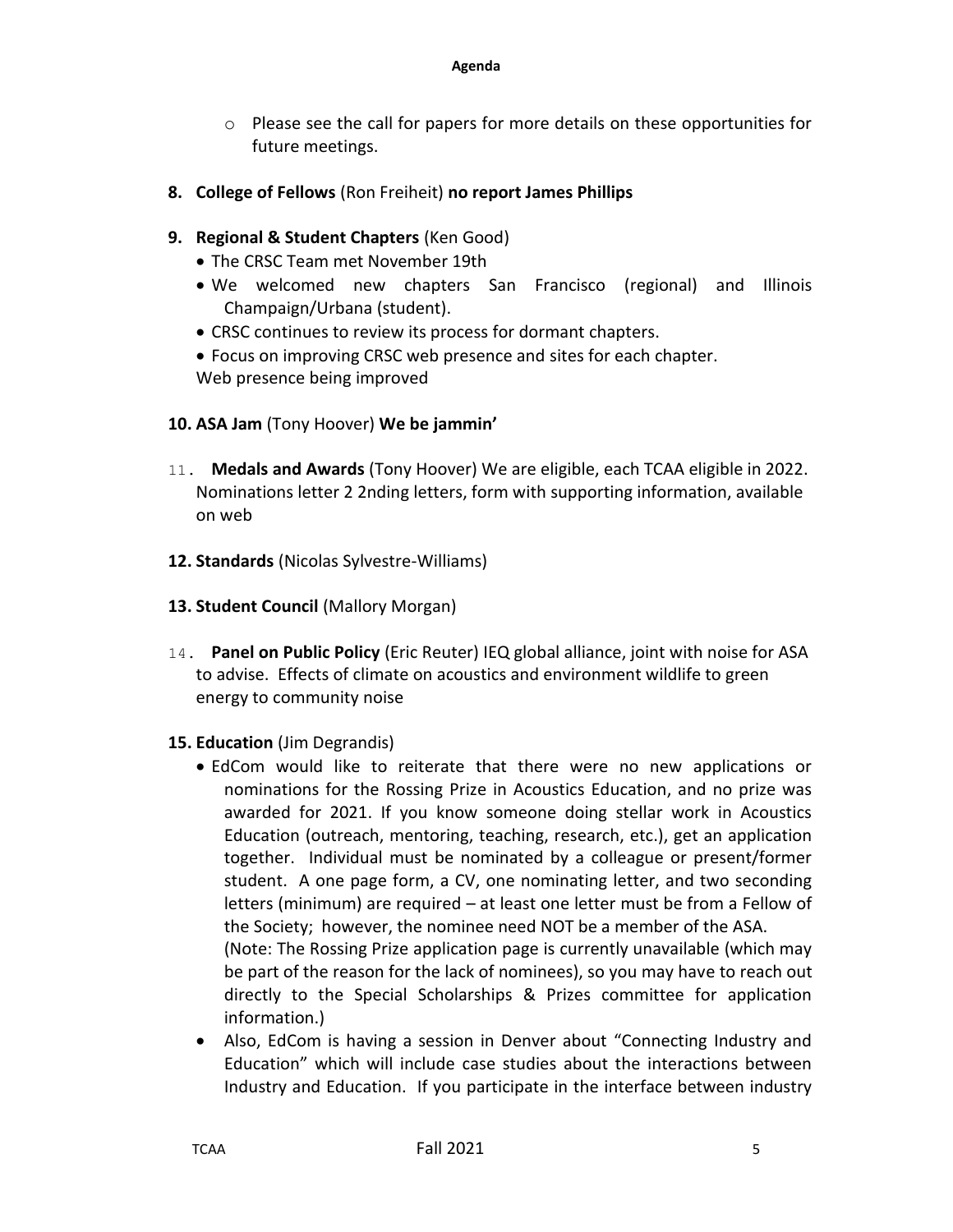- $\circ$  Please see the call for papers for more details on these opportunities for future meetings.
- **8. College of Fellows** (Ron Freiheit) **no report James Phillips**
- **9. Regional & Student Chapters** (Ken Good)
	- The CRSC Team met November 19th
	- We welcomed new chapters San Francisco (regional) and Illinois Champaign/Urbana (student).
	- CRSC continues to review its process for dormant chapters.
	- Focus on improving CRSC web presence and sites for each chapter. Web presence being improved
- **10. ASA Jam** (Tony Hoover) **We be jammin'**
- 11. **Medals and Awards** (Tony Hoover) We are eligible, each TCAA eligible in 2022. Nominations letter 2 2nding letters, form with supporting information, available on web
- **12. Standards** (Nicolas Sylvestre-Williams)
- **13. Student Council** (Mallory Morgan)
- 14. **Panel on Public Policy** (Eric Reuter) IEQ global alliance, joint with noise for ASA to advise. Effects of climate on acoustics and environment wildlife to green energy to community noise
- **15. Education** (Jim Degrandis)
	- EdCom would like to reiterate that there were no new applications or nominations for the Rossing Prize in Acoustics Education, and no prize was awarded for 2021. If you know someone doing stellar work in Acoustics Education (outreach, mentoring, teaching, research, etc.), get an application together. Individual must be nominated by a colleague or present/former student. A one page form, a CV, one nominating letter, and two seconding letters (minimum) are required – at least one letter must be from a Fellow of the Society; however, the nominee need NOT be a member of the ASA. (Note: The Rossing Prize application page is currently unavailable (which may be part of the reason for the lack of nominees), so you may have to reach out directly to the Special Scholarships & Prizes committee for application information.)
	- Also, EdCom is having a session in Denver about "Connecting Industry and Education" which will include case studies about the interactions between Industry and Education. If you participate in the interface between industry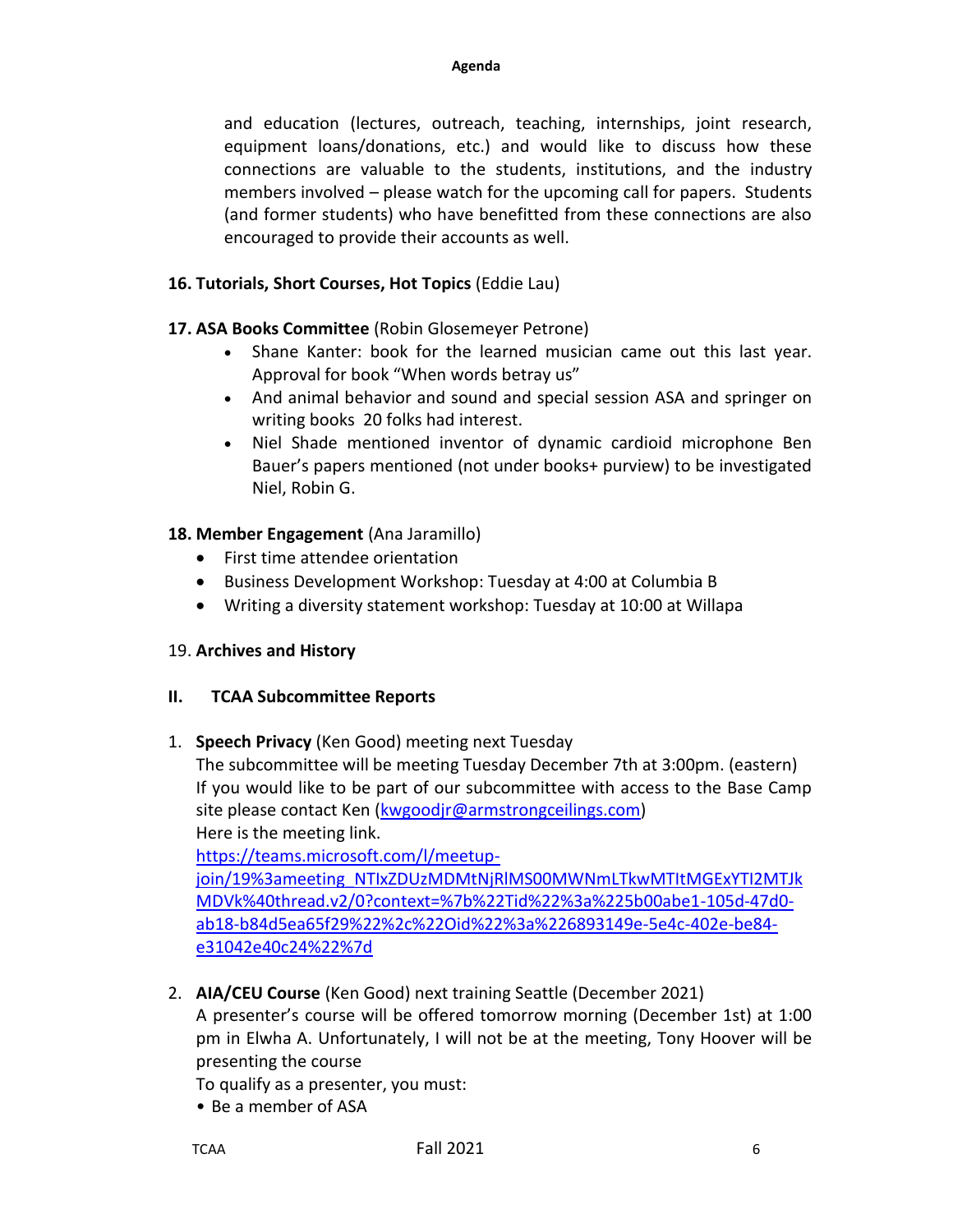and education (lectures, outreach, teaching, internships, joint research, equipment loans/donations, etc.) and would like to discuss how these connections are valuable to the students, institutions, and the industry members involved – please watch for the upcoming call for papers. Students (and former students) who have benefitted from these connections are also encouraged to provide their accounts as well.

## **16. Tutorials, Short Courses, Hot Topics** (Eddie Lau)

### **17. ASA Books Committee** (Robin Glosemeyer Petrone)

- Shane Kanter: book for the learned musician came out this last year. Approval for book "When words betray us"
- And animal behavior and sound and special session ASA and springer on writing books 20 folks had interest.
- Niel Shade mentioned inventor of dynamic cardioid microphone Ben Bauer's papers mentioned (not under books+ purview) to be investigated Niel, Robin G.

### **18. Member Engagement** (Ana Jaramillo)

- First time attendee orientation
- Business Development Workshop: Tuesday at 4:00 at Columbia B
- Writing a diversity statement workshop: Tuesday at 10:00 at Willapa

### 19. **Archives and History**

### **II. TCAA Subcommittee Reports**

1. **Speech Privacy** (Ken Good) meeting next Tuesday

The subcommittee will be meeting Tuesday December 7th at 3:00pm. (eastern) If you would like to be part of our subcommittee with access to the Base Camp site please contact Ken [\(kwgoodjr@armstrongceilings.com\)](mailto:kwgoodjr@armstrongceilings.com) Here is the meeting link.

[https://teams.microsoft.com/l/meetup](https://teams.microsoft.com/l/meetup-join/19%3Ameeting_NTIxZDUzMDMtNjRlMS00MWNmLTkwMTItMGExYTI2MTJkMDVk@thread.v2/0?context=%7b%22Tid%22%3A%225b00abe1-105d-47d0-ab18-b84d5ea65f29%22%2C%22Oid%22%3A%226893149e-5e4c-402e-be84-e31042e40c24%22%7d)[join/19%3ameeting\\_NTIxZDUzMDMtNjRlMS00MWNmLTkwMTItMGExYTI2MTJk](https://teams.microsoft.com/l/meetup-join/19%3Ameeting_NTIxZDUzMDMtNjRlMS00MWNmLTkwMTItMGExYTI2MTJkMDVk@thread.v2/0?context=%7b%22Tid%22%3A%225b00abe1-105d-47d0-ab18-b84d5ea65f29%22%2C%22Oid%22%3A%226893149e-5e4c-402e-be84-e31042e40c24%22%7d) [MDVk%40thread.v2/0?context=%7b%22Tid%22%3a%225b00abe1-105d-47d0](https://teams.microsoft.com/l/meetup-join/19%3Ameeting_NTIxZDUzMDMtNjRlMS00MWNmLTkwMTItMGExYTI2MTJkMDVk@thread.v2/0?context=%7b%22Tid%22%3A%225b00abe1-105d-47d0-ab18-b84d5ea65f29%22%2C%22Oid%22%3A%226893149e-5e4c-402e-be84-e31042e40c24%22%7d) [ab18-b84d5ea65f29%22%2c%22Oid%22%3a%226893149e-5e4c-402e-be84](https://teams.microsoft.com/l/meetup-join/19%3Ameeting_NTIxZDUzMDMtNjRlMS00MWNmLTkwMTItMGExYTI2MTJkMDVk@thread.v2/0?context=%7b%22Tid%22%3A%225b00abe1-105d-47d0-ab18-b84d5ea65f29%22%2C%22Oid%22%3A%226893149e-5e4c-402e-be84-e31042e40c24%22%7d) [e31042e40c24%22%7d](https://teams.microsoft.com/l/meetup-join/19%3Ameeting_NTIxZDUzMDMtNjRlMS00MWNmLTkwMTItMGExYTI2MTJkMDVk@thread.v2/0?context=%7b%22Tid%22%3A%225b00abe1-105d-47d0-ab18-b84d5ea65f29%22%2C%22Oid%22%3A%226893149e-5e4c-402e-be84-e31042e40c24%22%7d)

2. **AIA/CEU Course** (Ken Good) next training Seattle (December 2021)

A presenter's course will be offered tomorrow morning (December 1st) at 1:00 pm in Elwha A. Unfortunately, I will not be at the meeting, Tony Hoover will be presenting the course

To qualify as a presenter, you must:

• Be a member of ASA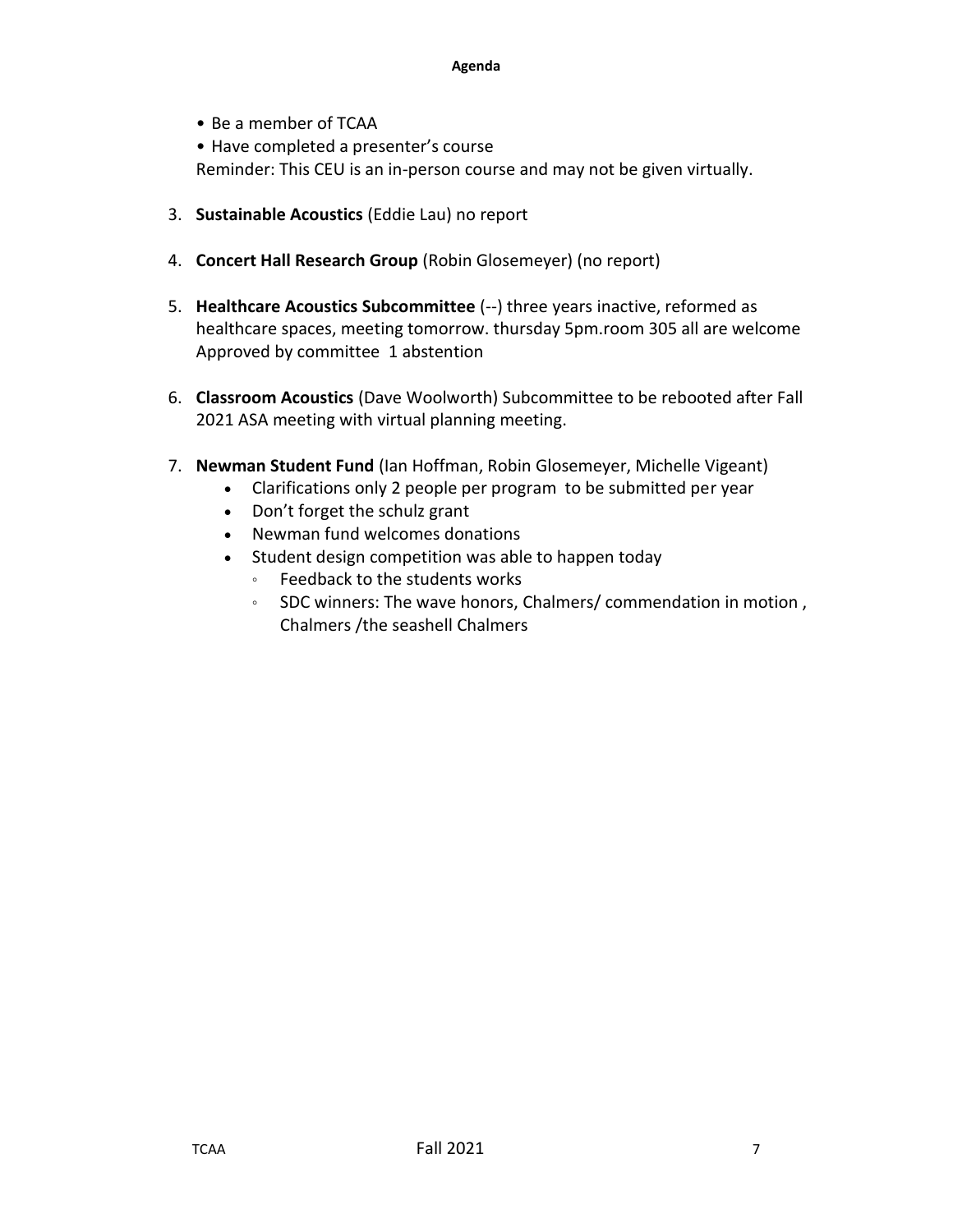#### **Agenda**

• Be a member of TCAA

• Have completed a presenter's course Reminder: This CEU is an in-person course and may not be given virtually.

- 3. **Sustainable Acoustics** (Eddie Lau) no report
- 4. **Concert Hall Research Group** (Robin Glosemeyer) (no report)
- 5. **Healthcare Acoustics Subcommittee** (--) three years inactive, reformed as healthcare spaces, meeting tomorrow. thursday 5pm.room 305 all are welcome Approved by committee 1 abstention
- 6. **Classroom Acoustics** (Dave Woolworth) Subcommittee to be rebooted after Fall 2021 ASA meeting with virtual planning meeting.
- 7. **Newman Student Fund** (Ian Hoffman, Robin Glosemeyer, Michelle Vigeant)
	- Clarifications only 2 people per program to be submitted per year
	- Don't forget the schulz grant
	- Newman fund welcomes donations
	- Student design competition was able to happen today
		- Feedback to the students works
		- SDC winners: The wave honors, Chalmers/ commendation in motion , Chalmers /the seashell Chalmers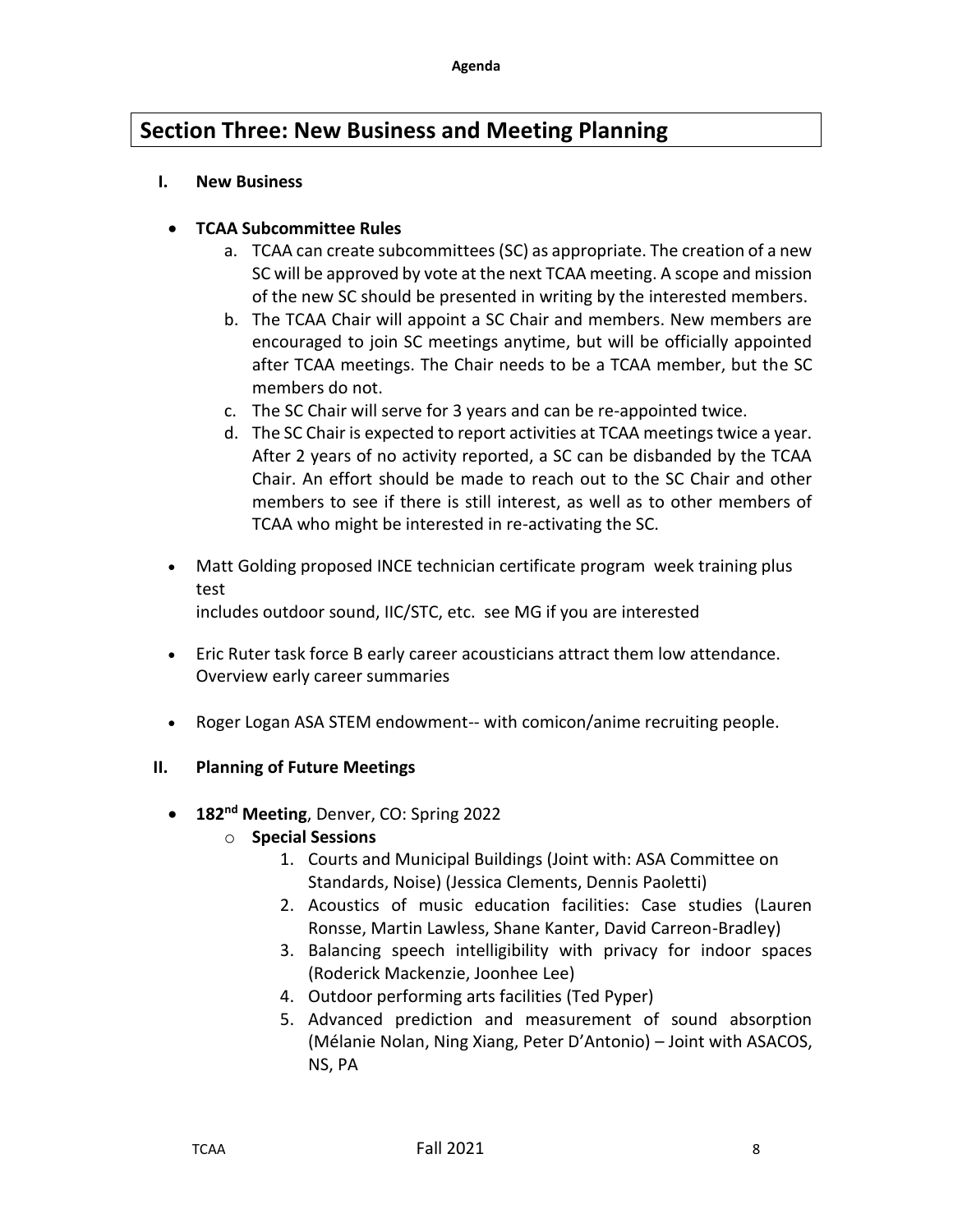# **Section Three: New Business and Meeting Planning**

#### **I. New Business**

### • **TCAA Subcommittee Rules**

- a. TCAA can create subcommittees (SC) as appropriate. The creation of a new SC will be approved by vote at the next TCAA meeting. A scope and mission of the new SC should be presented in writing by the interested members.
- b. The TCAA Chair will appoint a SC Chair and members. New members are encouraged to join SC meetings anytime, but will be officially appointed after TCAA meetings. The Chair needs to be a TCAA member, but the SC members do not.
- c. The SC Chair will serve for 3 years and can be re-appointed twice.
- d. The SC Chair is expected to report activities at TCAA meetings twice a year. After 2 years of no activity reported, a SC can be disbanded by the TCAA Chair. An effort should be made to reach out to the SC Chair and other members to see if there is still interest, as well as to other members of TCAA who might be interested in re-activating the SC.
- Matt Golding proposed INCE technician certificate program week training plus test

includes outdoor sound, IIC/STC, etc. see MG if you are interested

- Eric Ruter task force B early career acousticians attract them low attendance. Overview early career summaries
- Roger Logan ASA STEM endowment-- with comicon/anime recruiting people.

### **II. Planning of Future Meetings**

• **182nd Meeting**, Denver, CO: Spring 2022

### o **Special Sessions**

- 1. Courts and Municipal Buildings (Joint with: ASA Committee on Standards, Noise) (Jessica Clements, Dennis Paoletti)
- 2. Acoustics of music education facilities: Case studies (Lauren Ronsse, Martin Lawless, Shane Kanter, David Carreon-Bradley)
- 3. Balancing speech intelligibility with privacy for indoor spaces (Roderick Mackenzie, Joonhee Lee)
- 4. Outdoor performing arts facilities (Ted Pyper)
- 5. Advanced prediction and measurement of sound absorption (Mélanie Nolan, Ning Xiang, Peter D'Antonio) – Joint with ASACOS, NS, PA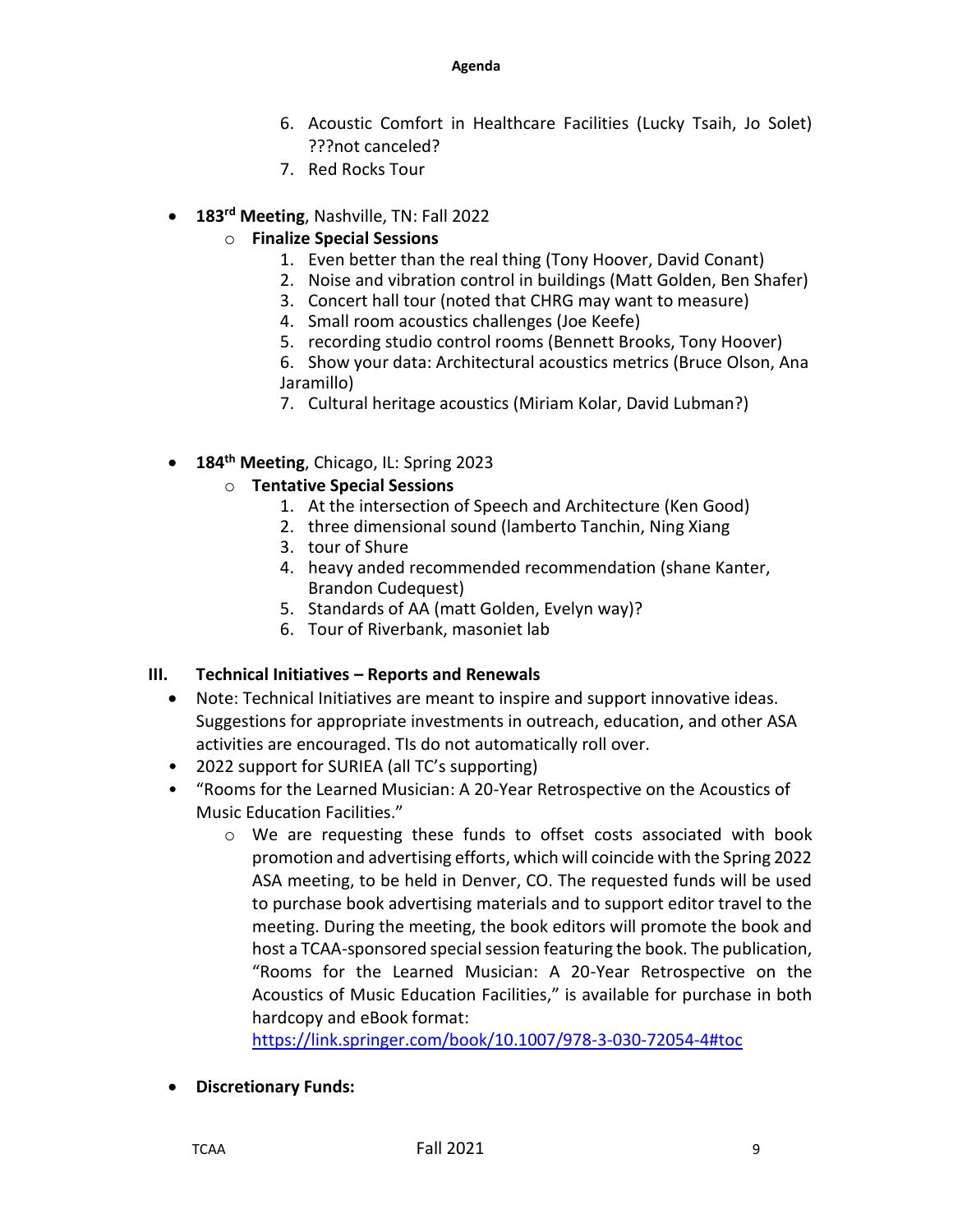- 6. Acoustic Comfort in Healthcare Facilities (Lucky Tsaih, Jo Solet) ???not canceled?
- 7. Red Rocks Tour
- **183rd Meeting**, Nashville, TN: Fall 2022
	- o **Finalize Special Sessions**
		- 1. Even better than the real thing (Tony Hoover, David Conant)
		- 2. Noise and vibration control in buildings (Matt Golden, Ben Shafer)
		- 3. Concert hall tour (noted that CHRG may want to measure)
		- 4. Small room acoustics challenges (Joe Keefe)
		- 5. recording studio control rooms (Bennett Brooks, Tony Hoover)
		- 6. Show your data: Architectural acoustics metrics (Bruce Olson, Ana Jaramillo)
		- 7. Cultural heritage acoustics (Miriam Kolar, David Lubman?)
- **184th Meeting**, Chicago, IL: Spring 2023

### o **Tentative Special Sessions**

- 1. At the intersection of Speech and Architecture (Ken Good)
- 2. three dimensional sound (lamberto Tanchin, Ning Xiang
- 3. tour of Shure
- 4. heavy anded recommended recommendation (shane Kanter, Brandon Cudequest)
- 5. Standards of AA (matt Golden, Evelyn way)?
- 6. Tour of Riverbank, masoniet lab

### **III. Technical Initiatives – Reports and Renewals**

- Note: Technical Initiatives are meant to inspire and support innovative ideas. Suggestions for appropriate investments in outreach, education, and other ASA activities are encouraged. TIs do not automatically roll over.
- 2022 support for SURIEA (all TC's supporting)
- "Rooms for the Learned Musician: A 20-Year Retrospective on the Acoustics of Music Education Facilities."
	- $\circ$  We are requesting these funds to offset costs associated with book promotion and advertising efforts, which will coincide with the Spring 2022 ASA meeting, to be held in Denver, CO. The requested funds will be used to purchase book advertising materials and to support editor travel to the meeting. During the meeting, the book editors will promote the book and host a TCAA-sponsored special session featuring the book. The publication, "Rooms for the Learned Musician: A 20-Year Retrospective on the Acoustics of Music Education Facilities," is available for purchase in both hardcopy and eBook format:

https://link.springer.com/book/10.1007/978-3-030-72054-4#toc

• **Discretionary Funds:**